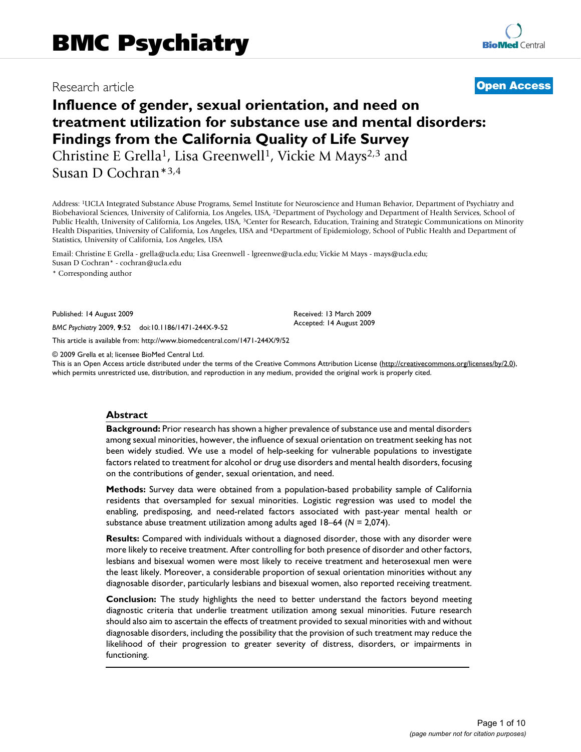## Research article

## **[Open Access](http://www.biomedcentral.com/info/about/charter/)**

# **Influence of gender, sexual orientation, and need on treatment utilization for substance use and mental disorders: Findings from the California Quality of Life Survey**

Christine E Grella<sup>1</sup>, Lisa Greenwell<sup>1</sup>, Vickie M Mays<sup>2,3</sup> and Susan D Cochran\*3,4

Address: 1UCLA Integrated Substance Abuse Programs, Semel Institute for Neuroscience and Human Behavior, Department of Psychiatry and Biobehavioral Sciences, University of California, Los Angeles, USA, 2Department of Psychology and Department of Health Services, School of Public Health, University of California, Los Angeles, USA, <sup>3</sup>Center for Research, Education, Training and Strategic Communications on Minority Health Disparities, University of California, Los Angeles, USA and 4Department of Epidemiology, School of Public Health and Department of Statistics, University of California, Los Angeles, USA

Email: Christine E Grella - grella@ucla.edu; Lisa Greenwell - lgreenwe@ucla.edu; Vickie M Mays - mays@ucla.edu;

Susan D Cochran\* - cochran@ucla.edu

\* Corresponding author

Published: 14 August 2009

*BMC Psychiatry* 2009, **9**:52 doi:10.1186/1471-244X-9-52

[This article is available from: http://www.biomedcentral.com/1471-244X/9/52](http://www.biomedcentral.com/1471-244X/9/52)

© 2009 Grella et al; licensee BioMed Central Ltd.

This is an Open Access article distributed under the terms of the Creative Commons Attribution License [\(http://creativecommons.org/licenses/by/2.0\)](http://creativecommons.org/licenses/by/2.0), which permits unrestricted use, distribution, and reproduction in any medium, provided the original work is properly cited.

Received: 13 March 2009 Accepted: 14 August 2009

#### **Abstract**

**Background:** Prior research has shown a higher prevalence of substance use and mental disorders among sexual minorities, however, the influence of sexual orientation on treatment seeking has not been widely studied. We use a model of help-seeking for vulnerable populations to investigate factors related to treatment for alcohol or drug use disorders and mental health disorders, focusing on the contributions of gender, sexual orientation, and need.

**Methods:** Survey data were obtained from a population-based probability sample of California residents that oversampled for sexual minorities. Logistic regression was used to model the enabling, predisposing, and need-related factors associated with past-year mental health or substance abuse treatment utilization among adults aged 18–64 (*N* = 2,074).

**Results:** Compared with individuals without a diagnosed disorder, those with any disorder were more likely to receive treatment. After controlling for both presence of disorder and other factors, lesbians and bisexual women were most likely to receive treatment and heterosexual men were the least likely. Moreover, a considerable proportion of sexual orientation minorities without any diagnosable disorder, particularly lesbians and bisexual women, also reported receiving treatment.

**Conclusion:** The study highlights the need to better understand the factors beyond meeting diagnostic criteria that underlie treatment utilization among sexual minorities. Future research should also aim to ascertain the effects of treatment provided to sexual minorities with and without diagnosable disorders, including the possibility that the provision of such treatment may reduce the likelihood of their progression to greater severity of distress, disorders, or impairments in functioning.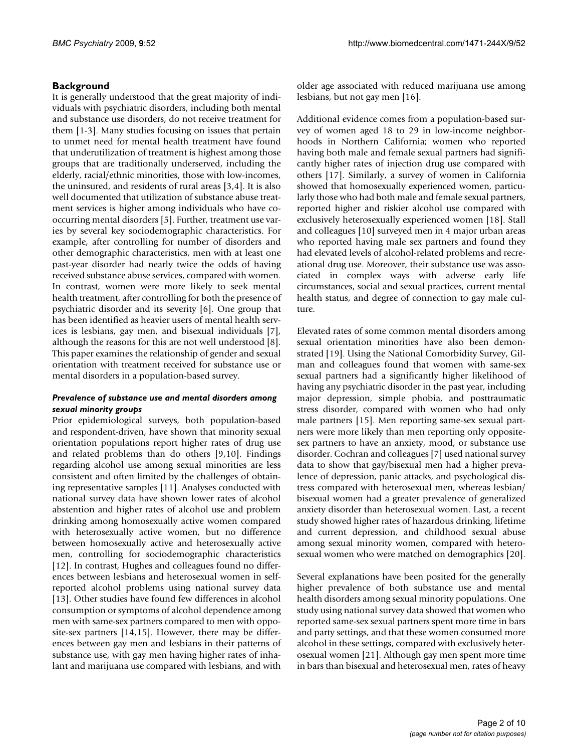## **Background**

It is generally understood that the great majority of individuals with psychiatric disorders, including both mental and substance use disorders, do not receive treatment for them [[1](#page-8-0)[-3\]](#page-8-1). Many studies focusing on issues that pertain to unmet need for mental health treatment have found that underutilization of treatment is highest among those groups that are traditionally underserved, including the elderly, racial/ethnic minorities, those with low-incomes, the uninsured, and residents of rural areas [[3](#page-8-1),[4](#page-8-2)]. It is also well documented that utilization of substance abuse treatment services is higher among individuals who have cooccurring mental disorders [[5](#page-8-3)]. Further, treatment use varies by several key sociodemographic characteristics. For example, after controlling for number of disorders and other demographic characteristics, men with at least one past-year disorder had nearly twice the odds of having received substance abuse services, compared with women. In contrast, women were more likely to seek mental health treatment, after controlling for both the presence of psychiatric disorder and its severity [\[6](#page-8-4)]. One group that has been identified as heavier users of mental health services is lesbians, gay men, and bisexual individuals [[7](#page-8-5)], although the reasons for this are not well understood [[8](#page-8-6)]. This paper examines the relationship of gender and sexual orientation with treatment received for substance use or mental disorders in a population-based survey.

#### *Prevalence of substance use and mental disorders among sexual minority groups*

Prior epidemiological surveys, both population-based and respondent-driven, have shown that minority sexual orientation populations report higher rates of drug use and related problems than do others [\[9](#page-8-7)[,10\]](#page-8-8). Findings regarding alcohol use among sexual minorities are less consistent and often limited by the challenges of obtaining representative samples [\[11](#page-8-9)]. Analyses conducted with national survey data have shown lower rates of alcohol abstention and higher rates of alcohol use and problem drinking among homosexually active women compared with heterosexually active women, but no difference between homosexually active and heterosexually active men, controlling for sociodemographic characteristics [[12](#page-8-10)]. In contrast, Hughes and colleagues found no differences between lesbians and heterosexual women in selfreported alcohol problems using national survey data [[13](#page-8-11)]. Other studies have found few differences in alcohol consumption or symptoms of alcohol dependence among men with same-sex partners compared to men with opposite-sex partners [[14,](#page-8-12)[15](#page-8-13)]. However, there may be differences between gay men and lesbians in their patterns of substance use, with gay men having higher rates of inhalant and marijuana use compared with lesbians, and with older age associated with reduced marijuana use among lesbians, but not gay men [\[16](#page-8-14)].

Additional evidence comes from a population-based survey of women aged 18 to 29 in low-income neighborhoods in Northern California; women who reported having both male and female sexual partners had significantly higher rates of injection drug use compared with others [[17](#page-8-15)]. Similarly, a survey of women in California showed that homosexually experienced women, particularly those who had both male and female sexual partners, reported higher and riskier alcohol use compared with exclusively heterosexually experienced women [[18\]](#page-8-16). Stall and colleagues [[10\]](#page-8-8) surveyed men in 4 major urban areas who reported having male sex partners and found they had elevated levels of alcohol-related problems and recreational drug use. Moreover, their substance use was associated in complex ways with adverse early life circumstances, social and sexual practices, current mental health status, and degree of connection to gay male culture.

Elevated rates of some common mental disorders among sexual orientation minorities have also been demonstrated [[19\]](#page-8-17). Using the National Comorbidity Survey, Gilman and colleagues found that women with same-sex sexual partners had a significantly higher likelihood of having any psychiatric disorder in the past year, including major depression, simple phobia, and posttraumatic stress disorder, compared with women who had only male partners [[15](#page-8-13)]. Men reporting same-sex sexual partners were more likely than men reporting only oppositesex partners to have an anxiety, mood, or substance use disorder. Cochran and colleagues [\[7\]](#page-8-5) used national survey data to show that gay/bisexual men had a higher prevalence of depression, panic attacks, and psychological distress compared with heterosexual men, whereas lesbian/ bisexual women had a greater prevalence of generalized anxiety disorder than heterosexual women. Last, a recent study showed higher rates of hazardous drinking, lifetime and current depression, and childhood sexual abuse among sexual minority women, compared with heterosexual women who were matched on demographics [\[20\]](#page-8-18).

Several explanations have been posited for the generally higher prevalence of both substance use and mental health disorders among sexual minority populations. One study using national survey data showed that women who reported same-sex sexual partners spent more time in bars and party settings, and that these women consumed more alcohol in these settings, compared with exclusively heterosexual women [\[21\]](#page-8-19). Although gay men spent more time in bars than bisexual and heterosexual men, rates of heavy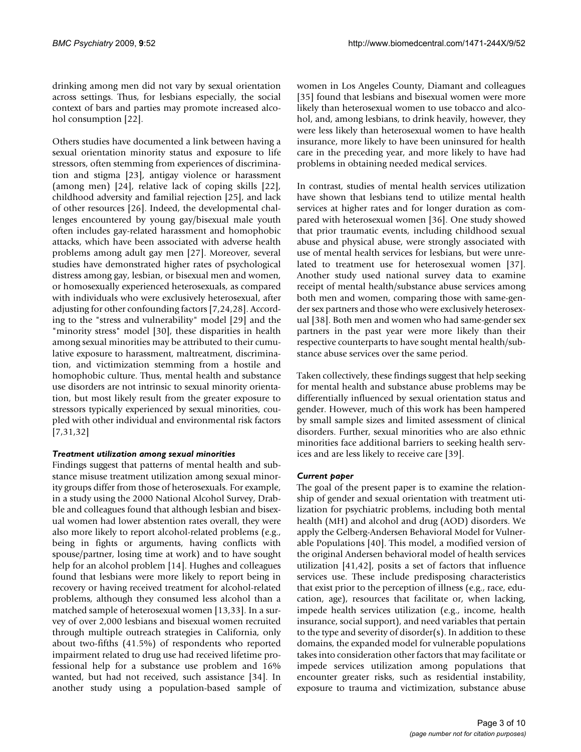drinking among men did not vary by sexual orientation across settings. Thus, for lesbians especially, the social context of bars and parties may promote increased alcohol consumption [\[22](#page-8-20)].

Others studies have documented a link between having a sexual orientation minority status and exposure to life stressors, often stemming from experiences of discrimination and stigma [[23](#page-8-21)], antigay violence or harassment (among men) [\[24](#page-8-22)], relative lack of coping skills [\[22](#page-8-20)], childhood adversity and familial rejection [\[25](#page-8-23)], and lack of other resources [\[26\]](#page-8-24). Indeed, the developmental challenges encountered by young gay/bisexual male youth often includes gay-related harassment and homophobic attacks, which have been associated with adverse health problems among adult gay men [[27\]](#page-8-25). Moreover, several studies have demonstrated higher rates of psychological distress among gay, lesbian, or bisexual men and women, or homosexually experienced heterosexuals, as compared with individuals who were exclusively heterosexual, after adjusting for other confounding factors [[7](#page-8-5),[24,](#page-8-22)[28](#page-8-26)]. According to the "stress and vulnerability" model [[29](#page-8-27)] and the "minority stress" model [[30](#page-8-28)], these disparities in health among sexual minorities may be attributed to their cumulative exposure to harassment, maltreatment, discrimination, and victimization stemming from a hostile and homophobic culture. Thus, mental health and substance use disorders are not intrinsic to sexual minority orientation, but most likely result from the greater exposure to stressors typically experienced by sexual minorities, coupled with other individual and environmental risk factors [[7](#page-8-5)[,31](#page-8-29),[32\]](#page-8-30)

#### *Treatment utilization among sexual minorities*

Findings suggest that patterns of mental health and substance misuse treatment utilization among sexual minority groups differ from those of heterosexuals. For example, in a study using the 2000 National Alcohol Survey, Drabble and colleagues found that although lesbian and bisexual women had lower abstention rates overall, they were also more likely to report alcohol-related problems (e.g., being in fights or arguments, having conflicts with spouse/partner, losing time at work) and to have sought help for an alcohol problem [\[14](#page-8-12)]. Hughes and colleagues found that lesbians were more likely to report being in recovery or having received treatment for alcohol-related problems, although they consumed less alcohol than a matched sample of heterosexual women [[13](#page-8-11),[33\]](#page-8-31). In a survey of over 2,000 lesbians and bisexual women recruited through multiple outreach strategies in California, only about two-fifths (41.5%) of respondents who reported impairment related to drug use had received lifetime professional help for a substance use problem and 16% wanted, but had not received, such assistance [[34\]](#page-9-0). In another study using a population-based sample of women in Los Angeles County, Diamant and colleagues [[35](#page-9-1)] found that lesbians and bisexual women were more likely than heterosexual women to use tobacco and alcohol, and, among lesbians, to drink heavily, however, they were less likely than heterosexual women to have health insurance, more likely to have been uninsured for health care in the preceding year, and more likely to have had problems in obtaining needed medical services.

In contrast, studies of mental health services utilization have shown that lesbians tend to utilize mental health services at higher rates and for longer duration as compared with heterosexual women [\[36](#page-9-2)]. One study showed that prior traumatic events, including childhood sexual abuse and physical abuse, were strongly associated with use of mental health services for lesbians, but were unrelated to treatment use for heterosexual women [\[37](#page-9-3)]. Another study used national survey data to examine receipt of mental health/substance abuse services among both men and women, comparing those with same-gender sex partners and those who were exclusively heterosexual [[38\]](#page-9-4). Both men and women who had same-gender sex partners in the past year were more likely than their respective counterparts to have sought mental health/substance abuse services over the same period.

Taken collectively, these findings suggest that help seeking for mental health and substance abuse problems may be differentially influenced by sexual orientation status and gender. However, much of this work has been hampered by small sample sizes and limited assessment of clinical disorders. Further, sexual minorities who are also ethnic minorities face additional barriers to seeking health services and are less likely to receive care [[39](#page-9-5)].

#### *Current paper*

The goal of the present paper is to examine the relationship of gender and sexual orientation with treatment utilization for psychiatric problems, including both mental health (MH) and alcohol and drug (AOD) disorders. We apply the Gelberg-Andersen Behavioral Model for Vulnerable Populations [[40\]](#page-9-6). This model, a modified version of the original Andersen behavioral model of health services utilization [\[41,](#page-9-7)[42](#page-9-8)], posits a set of factors that influence services use. These include predisposing characteristics that exist prior to the perception of illness (e.g., race, education, age), resources that facilitate or, when lacking, impede health services utilization (e.g., income, health insurance, social support), and need variables that pertain to the type and severity of disorder(s). In addition to these domains, the expanded model for vulnerable populations takes into consideration other factors that may facilitate or impede services utilization among populations that encounter greater risks, such as residential instability, exposure to trauma and victimization, substance abuse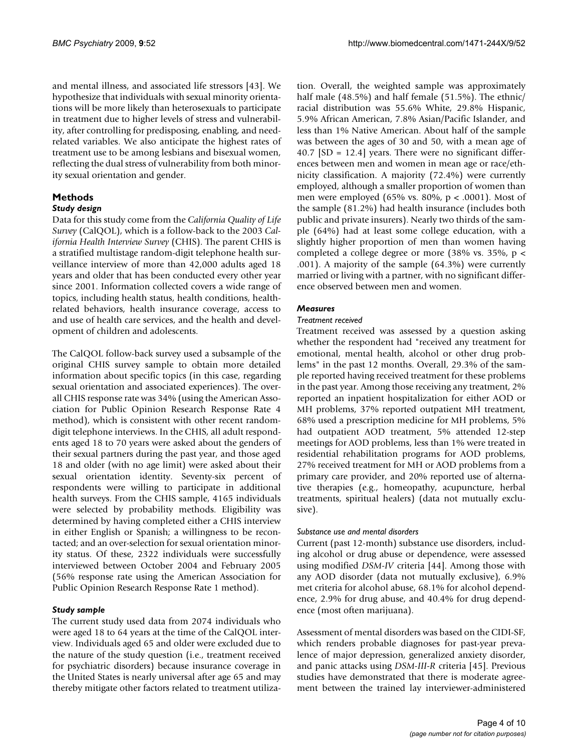and mental illness, and associated life stressors [[43](#page-9-9)]. We hypothesize that individuals with sexual minority orientations will be more likely than heterosexuals to participate in treatment due to higher levels of stress and vulnerability, after controlling for predisposing, enabling, and needrelated variables. We also anticipate the highest rates of treatment use to be among lesbians and bisexual women, reflecting the dual stress of vulnerability from both minority sexual orientation and gender.

## **Methods**

#### *Study design*

Data for this study come from the *California Quality of Life Survey* (CalQOL), which is a follow-back to the 2003 *California Health Interview Survey* (CHIS). The parent CHIS is a stratified multistage random-digit telephone health surveillance interview of more than 42,000 adults aged 18 years and older that has been conducted every other year since 2001. Information collected covers a wide range of topics, including health status, health conditions, healthrelated behaviors, health insurance coverage, access to and use of health care services, and the health and development of children and adolescents.

The CalQOL follow-back survey used a subsample of the original CHIS survey sample to obtain more detailed information about specific topics (in this case, regarding sexual orientation and associated experiences). The overall CHIS response rate was 34% (using the American Association for Public Opinion Research Response Rate 4 method), which is consistent with other recent randomdigit telephone interviews. In the CHIS, all adult respondents aged 18 to 70 years were asked about the genders of their sexual partners during the past year, and those aged 18 and older (with no age limit) were asked about their sexual orientation identity. Seventy-six percent of respondents were willing to participate in additional health surveys. From the CHIS sample, 4165 individuals were selected by probability methods. Eligibility was determined by having completed either a CHIS interview in either English or Spanish; a willingness to be recontacted; and an over-selection for sexual orientation minority status. Of these, 2322 individuals were successfully interviewed between October 2004 and February 2005 (56% response rate using the American Association for Public Opinion Research Response Rate 1 method).

#### *Study sample*

The current study used data from 2074 individuals who were aged 18 to 64 years at the time of the CalQOL interview. Individuals aged 65 and older were excluded due to the nature of the study question (i.e., treatment received for psychiatric disorders) because insurance coverage in the United States is nearly universal after age 65 and may thereby mitigate other factors related to treatment utilization. Overall, the weighted sample was approximately half male (48.5%) and half female (51.5%). The ethnic/ racial distribution was 55.6% White, 29.8% Hispanic, 5.9% African American, 7.8% Asian/Pacific Islander, and less than 1% Native American. About half of the sample was between the ages of 30 and 50, with a mean age of 40.7 [SD = 12.4] years. There were no significant differences between men and women in mean age or race/ethnicity classification. A majority (72.4%) were currently employed, although a smaller proportion of women than men were employed (65% vs. 80%, p < .0001). Most of the sample (81.2%) had health insurance (includes both public and private insurers). Nearly two thirds of the sample (64%) had at least some college education, with a slightly higher proportion of men than women having completed a college degree or more (38% vs. 35%, p < .001). A majority of the sample (64.3%) were currently married or living with a partner, with no significant difference observed between men and women.

#### *Measures*

#### *Treatment received*

Treatment received was assessed by a question asking whether the respondent had "received any treatment for emotional, mental health, alcohol or other drug problems" in the past 12 months. Overall, 29.3% of the sample reported having received treatment for these problems in the past year. Among those receiving any treatment, 2% reported an inpatient hospitalization for either AOD or MH problems, 37% reported outpatient MH treatment, 68% used a prescription medicine for MH problems, 5% had outpatient AOD treatment, 5% attended 12-step meetings for AOD problems, less than 1% were treated in residential rehabilitation programs for AOD problems, 27% received treatment for MH or AOD problems from a primary care provider, and 20% reported use of alternative therapies (e.g., homeopathy, acupuncture, herbal treatments, spiritual healers) (data not mutually exclusive).

#### *Substance use and mental disorders*

Current (past 12-month) substance use disorders, including alcohol or drug abuse or dependence, were assessed using modified *DSM-IV* criteria [[44](#page-9-10)]. Among those with any AOD disorder (data not mutually exclusive), 6.9% met criteria for alcohol abuse, 68.1% for alcohol dependence, 2.9% for drug abuse, and 40.4% for drug dependence (most often marijuana).

Assessment of mental disorders was based on the CIDI-SF, which renders probable diagnoses for past-year prevalence of major depression, generalized anxiety disorder, and panic attacks using *DSM-III-R* criteria [\[45\]](#page-9-11). Previous studies have demonstrated that there is moderate agreement between the trained lay interviewer-administered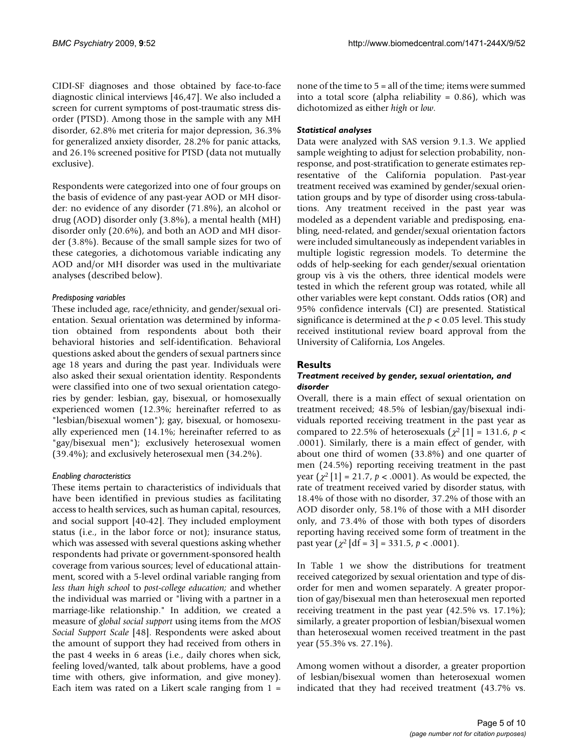CIDI-SF diagnoses and those obtained by face-to-face diagnostic clinical interviews [[46,](#page-9-12)[47](#page-9-13)]. We also included a screen for current symptoms of post-traumatic stress disorder (PTSD). Among those in the sample with any MH disorder, 62.8% met criteria for major depression, 36.3% for generalized anxiety disorder, 28.2% for panic attacks, and 26.1% screened positive for PTSD (data not mutually exclusive).

Respondents were categorized into one of four groups on the basis of evidence of any past-year AOD or MH disorder: no evidence of any disorder (71.8%), an alcohol or drug (AOD) disorder only (3.8%), a mental health (MH) disorder only (20.6%), and both an AOD and MH disorder (3.8%). Because of the small sample sizes for two of these categories, a dichotomous variable indicating any AOD and/or MH disorder was used in the multivariate analyses (described below).

#### *Predisposing variables*

These included age, race/ethnicity, and gender/sexual orientation. Sexual orientation was determined by information obtained from respondents about both their behavioral histories and self-identification. Behavioral questions asked about the genders of sexual partners since age 18 years and during the past year. Individuals were also asked their sexual orientation identity. Respondents were classified into one of two sexual orientation categories by gender: lesbian, gay, bisexual, or homosexually experienced women (12.3%; hereinafter referred to as "lesbian/bisexual women"); gay, bisexual, or homosexually experienced men (14.1%; hereinafter referred to as "gay/bisexual men"); exclusively heterosexual women (39.4%); and exclusively heterosexual men (34.2%).

#### *Enabling characteristics*

These items pertain to characteristics of individuals that have been identified in previous studies as facilitating access to health services, such as human capital, resources, and social support [[40-](#page-9-6)[42\]](#page-9-8). They included employment status (i.e., in the labor force or not); insurance status, which was assessed with several questions asking whether respondents had private or government-sponsored health coverage from various sources; level of educational attainment, scored with a 5-level ordinal variable ranging from *less than high school* to *post-college education;* and whether the individual was married or "living with a partner in a marriage-like relationship." In addition, we created a measure of *global social support* using items from the *MOS Social Support Scale* [\[48\]](#page-9-14). Respondents were asked about the amount of support they had received from others in the past 4 weeks in 6 areas (i.e., daily chores when sick, feeling loved/wanted, talk about problems, have a good time with others, give information, and give money). Each item was rated on a Likert scale ranging from  $1 =$ 

none of the time to 5 = all of the time; items were summed into a total score (alpha reliability =  $0.86$ ), which was dichotomized as either *high* or *low*.

#### *Statistical analyses*

Data were analyzed with SAS version 9.1.3. We applied sample weighting to adjust for selection probability, nonresponse, and post-stratification to generate estimates representative of the California population. Past-year treatment received was examined by gender/sexual orientation groups and by type of disorder using cross-tabulations. Any treatment received in the past year was modeled as a dependent variable and predisposing, enabling, need-related, and gender/sexual orientation factors were included simultaneously as independent variables in multiple logistic regression models. To determine the odds of help-seeking for each gender/sexual orientation group vis à vis the others, three identical models were tested in which the referent group was rotated, while all other variables were kept constant. Odds ratios (OR) and 95% confidence intervals (CI) are presented. Statistical significance is determined at the *p* < 0.05 level. This study received institutional review board approval from the University of California, Los Angeles.

#### **Results**

#### *Treatment received by gender, sexual orientation, and disorder*

Overall, there is a main effect of sexual orientation on treatment received; 48.5% of lesbian/gay/bisexual individuals reported receiving treatment in the past year as compared to 22.5% of heterosexuals  $\left(\chi^2\left[1\right] = 131.6, p \right)$ .0001). Similarly, there is a main effect of gender, with about one third of women (33.8%) and one quarter of men (24.5%) reporting receiving treatment in the past year  $(\chi^2 [1] = 21.7, p < .0001)$ . As would be expected, the rate of treatment received varied by disorder status, with 18.4% of those with no disorder, 37.2% of those with an AOD disorder only, 58.1% of those with a MH disorder only, and 73.4% of those with both types of disorders reporting having received some form of treatment in the past year  $(\chi^2 | df = 3] = 331.5$ ,  $p < .0001$ ).

In Table [1](#page-5-0) we show the distributions for treatment received categorized by sexual orientation and type of disorder for men and women separately. A greater proportion of gay/bisexual men than heterosexual men reported receiving treatment in the past year (42.5% vs. 17.1%); similarly, a greater proportion of lesbian/bisexual women than heterosexual women received treatment in the past year (55.3% vs. 27.1%).

Among women without a disorder, a greater proportion of lesbian/bisexual women than heterosexual women indicated that they had received treatment (43.7% vs.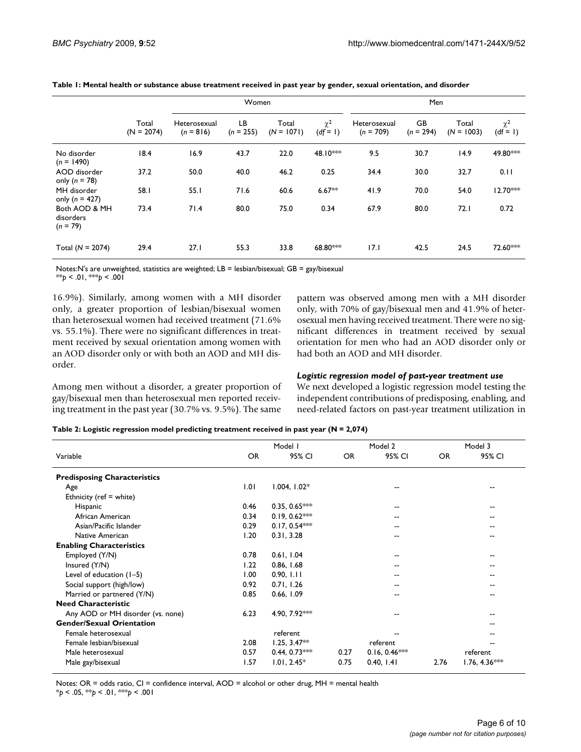|                                          |                       | Women                       |                   |                       |                      | Men                         |                   |                       |                        |
|------------------------------------------|-----------------------|-----------------------------|-------------------|-----------------------|----------------------|-----------------------------|-------------------|-----------------------|------------------------|
|                                          | Total<br>$(N = 2074)$ | Heterosexual<br>$(n = 816)$ | LB<br>$(n = 255)$ | Total<br>$(N = 1071)$ | $\chi^2$<br>$(df=1)$ | Heterosexual<br>$(n = 709)$ | GB<br>$(n = 294)$ | Total<br>$(N = 1003)$ | $\chi^2$<br>$(df = 1)$ |
| No disorder<br>$(n = 1490)$              | 18.4                  | 16.9                        | 43.7              | 22.0                  | 48.10***             | 9.5                         | 30.7              | 14.9                  | 49.80***               |
| AOD disorder<br>only ( $n = 78$ )        | 37.2                  | 50.0                        | 40.0              | 46.2                  | 0.25                 | 34.4                        | 30.0              | 32.7                  | 0.11                   |
| MH disorder<br>only ( $n = 427$ )        | 58.I                  | 55.1                        | 71.6              | 60.6                  | $6.67**$             | 41.9                        | 70.0              | 54.0                  | $12.70***$             |
| Both AOD & MH<br>disorders<br>$(n = 79)$ | 73.4                  | 71.4                        | 80.0              | 75.0                  | 0.34                 | 67.9                        | 80.0              | 72.1                  | 0.72                   |
| Total $(N = 2074)$                       | 29.4                  | 27.1                        | 55.3              | 33.8                  | 68.80***             | 17.1                        | 42.5              | 24.5                  | 72.60***               |

<span id="page-5-0"></span>**Table 1: Mental health or substance abuse treatment received in past year by gender, sexual orientation, and disorder**

Notes:N's are unweighted, statistics are weighted; LB = lesbian/bisexual; GB = gay/bisexual  $**p < 0.01, **p < 0.001$ 

16.9%). Similarly, among women with a MH disorder only, a greater proportion of lesbian/bisexual women than heterosexual women had received treatment (71.6% vs. 55.1%). There were no significant differences in treatment received by sexual orientation among women with an AOD disorder only or with both an AOD and MH disorder.

Among men without a disorder, a greater proportion of gay/bisexual men than heterosexual men reported receiving treatment in the past year (30.7% vs. 9.5%). The same pattern was observed among men with a MH disorder only, with 70% of gay/bisexual men and 41.9% of heterosexual men having received treatment. There were no significant differences in treatment received by sexual orientation for men who had an AOD disorder only or had both an AOD and MH disorder.

#### *Logistic regression model of past-year treatment use*

We next developed a logistic regression model testing the independent contributions of predisposing, enabling, and need-related factors on past-year treatment utilization in

<span id="page-5-1"></span>

| Table 2: Logistic regression model predicting treatment received in past year (N = 2,074) |  |  |  |
|-------------------------------------------------------------------------------------------|--|--|--|
|-------------------------------------------------------------------------------------------|--|--|--|

|                                     |      | Model I         |           | Model 2         |           | Model 3         |
|-------------------------------------|------|-----------------|-----------|-----------------|-----------|-----------------|
| Variable                            | OR.  | 95% CI          | <b>OR</b> | 95% CI          | <b>OR</b> | 95% CI          |
| <b>Predisposing Characteristics</b> |      |                 |           |                 |           |                 |
| Age                                 | 1.01 | $1.004, 1.02*$  |           |                 |           | --              |
| Ethnicity (ref = white)             |      |                 |           |                 |           |                 |
| Hispanic                            | 0.46 | $0.35, 0.65***$ |           |                 |           |                 |
| African American                    | 0.34 | $0.19, 0.62***$ |           |                 |           |                 |
| Asian/Pacific Islander              | 0.29 | $0.17, 0.54***$ |           |                 |           |                 |
| Native American                     | 1.20 | 0.31, 3.28      |           | --              |           |                 |
| <b>Enabling Characteristics</b>     |      |                 |           |                 |           |                 |
| Employed (Y/N)                      | 0.78 | 0.61, 1.04      |           |                 |           |                 |
| Insured (Y/N)                       | 1.22 | 0.86, 1.68      |           |                 |           |                 |
| Level of education $(1-5)$          | 1.00 | 0.90, 1.11      |           |                 |           |                 |
| Social support (high/low)           | 0.92 | 0.71, 1.26      |           |                 |           |                 |
| Married or partnered (Y/N)          | 0.85 | 0.66, 1.09      |           |                 |           |                 |
| <b>Need Characteristic</b>          |      |                 |           |                 |           |                 |
| Any AOD or MH disorder (vs. none)   | 6.23 | 4.90, 7.92***   |           |                 |           | --              |
| <b>Gender/Sexual Orientation</b>    |      |                 |           |                 |           |                 |
| Female heterosexual                 |      | referent        |           |                 |           |                 |
| Female lesbian/bisexual             | 2.08 | $1.25, 3.47**$  |           | referent        |           |                 |
| Male heterosexual                   | 0.57 | $0.44, 0.73***$ | 0.27      | $0.16, 0.46***$ |           | referent        |
| Male gay/bisexual                   | 1.57 | $1.01, 2.45*$   | 0.75      | 0.40, 1.41      | 2.76      | $1.76, 4.36***$ |

Notes: OR = odds ratio, CI = confidence interval, AOD = alcohol or other drug, MH = mental health \**p* < .05, \*\**p* < .01, \*\*\**p* < .001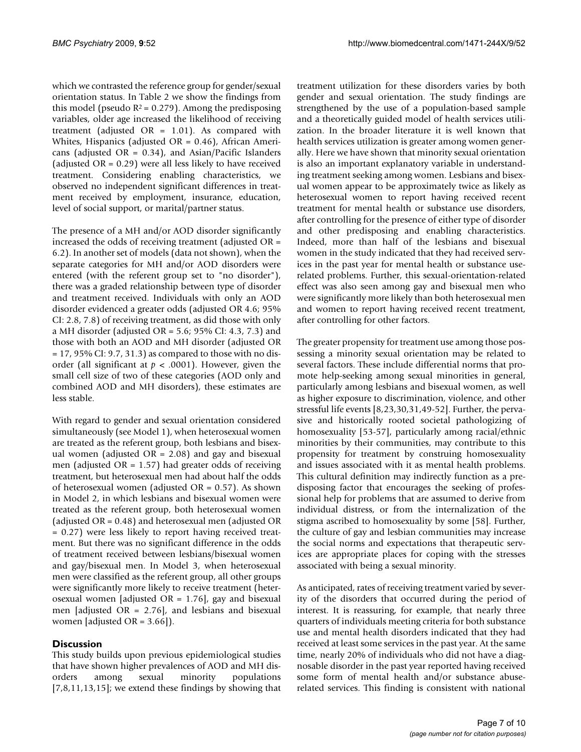which we contrasted the reference group for gender/sexual orientation status. In Table [2](#page-5-1) we show the findings from this model (pseudo  $R^2$  = 0.279). Among the predisposing variables, older age increased the likelihood of receiving treatment (adjusted OR = 1.01). As compared with Whites, Hispanics (adjusted OR = 0.46), African Americans (adjusted  $OR = 0.34$ ), and Asian/Pacific Islanders (adjusted OR = 0.29) were all less likely to have received treatment. Considering enabling characteristics, we observed no independent significant differences in treatment received by employment, insurance, education, level of social support, or marital/partner status.

The presence of a MH and/or AOD disorder significantly increased the odds of receiving treatment (adjusted OR = 6.2). In another set of models (data not shown), when the separate categories for MH and/or AOD disorders were entered (with the referent group set to "no disorder"), there was a graded relationship between type of disorder and treatment received. Individuals with only an AOD disorder evidenced a greater odds (adjusted OR 4.6; 95% CI: 2.8, 7.8) of receiving treatment, as did those with only a MH disorder (adjusted  $OR = 5.6$ ; 95% CI: 4.3, 7.3) and those with both an AOD and MH disorder (adjusted OR = 17, 95% CI: 9.7, 31.3) as compared to those with no disorder (all significant at *p* < .0001). However, given the small cell size of two of these categories (AOD only and combined AOD and MH disorders), these estimates are less stable.

With regard to gender and sexual orientation considered simultaneously (see Model 1), when heterosexual women are treated as the referent group, both lesbians and bisexual women (adjusted  $OR = 2.08$ ) and gay and bisexual men (adjusted  $OR = 1.57$ ) had greater odds of receiving treatment, but heterosexual men had about half the odds of heterosexual women (adjusted OR = 0.57). As shown in Model 2, in which lesbians and bisexual women were treated as the referent group, both heterosexual women (adjusted OR = 0.48) and heterosexual men (adjusted OR = 0.27) were less likely to report having received treatment. But there was no significant difference in the odds of treatment received between lesbians/bisexual women and gay/bisexual men. In Model 3, when heterosexual men were classified as the referent group, all other groups were significantly more likely to receive treatment (heterosexual women [adjusted OR = 1.76], gay and bisexual men [adjusted OR = 2.76], and lesbians and bisexual women [adjusted OR = 3.66]).

## **Discussion**

This study builds upon previous epidemiological studies that have shown higher prevalences of AOD and MH disorders among sexual minority populations [[7](#page-8-5)[,8](#page-8-6)[,11](#page-8-9),[13,](#page-8-11)[15\]](#page-8-13); we extend these findings by showing that

treatment utilization for these disorders varies by both gender and sexual orientation. The study findings are strengthened by the use of a population-based sample and a theoretically guided model of health services utilization. In the broader literature it is well known that health services utilization is greater among women generally. Here we have shown that minority sexual orientation is also an important explanatory variable in understanding treatment seeking among women. Lesbians and bisexual women appear to be approximately twice as likely as heterosexual women to report having received recent treatment for mental health or substance use disorders, after controlling for the presence of either type of disorder and other predisposing and enabling characteristics. Indeed, more than half of the lesbians and bisexual women in the study indicated that they had received services in the past year for mental health or substance userelated problems. Further, this sexual-orientation-related effect was also seen among gay and bisexual men who were significantly more likely than both heterosexual men and women to report having received recent treatment, after controlling for other factors.

The greater propensity for treatment use among those possessing a minority sexual orientation may be related to several factors. These include differential norms that promote help-seeking among sexual minorities in general, particularly among lesbians and bisexual women, as well as higher exposure to discrimination, violence, and other stressful life events [\[8](#page-8-6)[,23](#page-8-21),[30,](#page-8-28)[31](#page-8-29)[,49](#page-9-15)[-52](#page-9-16)]. Further, the pervasive and historically rooted societal pathologizing of homosexuality [\[53](#page-9-17)[-57](#page-9-18)], particularly among racial/ethnic minorities by their communities, may contribute to this propensity for treatment by construing homosexuality and issues associated with it as mental health problems. This cultural definition may indirectly function as a predisposing factor that encourages the seeking of professional help for problems that are assumed to derive from individual distress, or from the internalization of the stigma ascribed to homosexuality by some [\[58\]](#page-9-19). Further, the culture of gay and lesbian communities may increase the social norms and expectations that therapeutic services are appropriate places for coping with the stresses associated with being a sexual minority.

As anticipated, rates of receiving treatment varied by severity of the disorders that occurred during the period of interest. It is reassuring, for example, that nearly three quarters of individuals meeting criteria for both substance use and mental health disorders indicated that they had received at least some services in the past year. At the same time, nearly 20% of individuals who did not have a diagnosable disorder in the past year reported having received some form of mental health and/or substance abuserelated services. This finding is consistent with national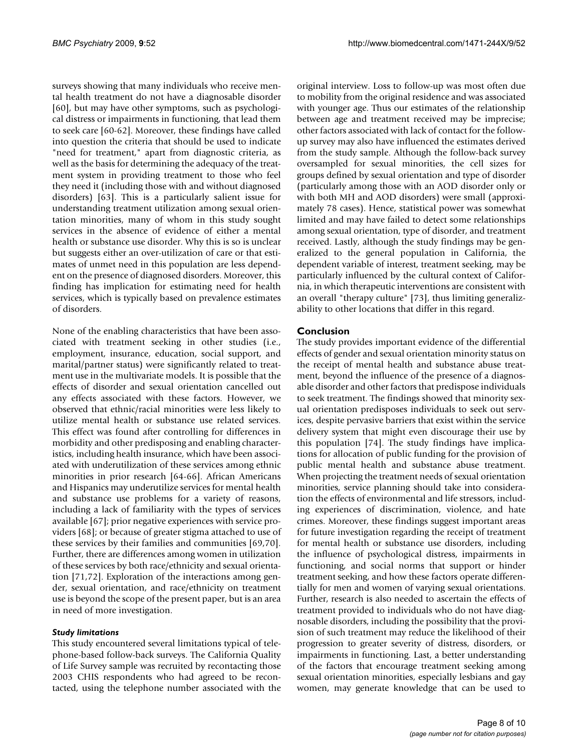surveys showing that many individuals who receive mental health treatment do not have a diagnosable disorder [[60](#page-9-20)], but may have other symptoms, such as psychological distress or impairments in functioning, that lead them to seek care [\[60](#page-9-20)[-62](#page-9-21)]. Moreover, these findings have called into question the criteria that should be used to indicate "need for treatment," apart from diagnostic criteria, as well as the basis for determining the adequacy of the treatment system in providing treatment to those who feel they need it (including those with and without diagnosed disorders) [\[63](#page-9-22)]. This is a particularly salient issue for understanding treatment utilization among sexual orientation minorities, many of whom in this study sought services in the absence of evidence of either a mental health or substance use disorder. Why this is so is unclear but suggests either an over-utilization of care or that estimates of unmet need in this population are less dependent on the presence of diagnosed disorders. Moreover, this finding has implication for estimating need for health services, which is typically based on prevalence estimates of disorders.

None of the enabling characteristics that have been associated with treatment seeking in other studies (i.e., employment, insurance, education, social support, and marital/partner status) were significantly related to treatment use in the multivariate models. It is possible that the effects of disorder and sexual orientation cancelled out any effects associated with these factors. However, we observed that ethnic/racial minorities were less likely to utilize mental health or substance use related services. This effect was found after controlling for differences in morbidity and other predisposing and enabling characteristics, including health insurance, which have been associated with underutilization of these services among ethnic minorities in prior research [[64-](#page-9-23)[66\]](#page-9-24). African Americans and Hispanics may underutilize services for mental health and substance use problems for a variety of reasons, including a lack of familiarity with the types of services available [\[67\]](#page-9-25); prior negative experiences with service providers [[68\]](#page-9-26); or because of greater stigma attached to use of these services by their families and communities [[69](#page-9-27)[,70](#page-9-28)]. Further, there are differences among women in utilization of these services by both race/ethnicity and sexual orientation [\[71](#page-9-29)[,72](#page-9-30)]. Exploration of the interactions among gender, sexual orientation, and race/ethnicity on treatment use is beyond the scope of the present paper, but is an area in need of more investigation.

#### *Study limitations*

This study encountered several limitations typical of telephone-based follow-back surveys. The California Quality of Life Survey sample was recruited by recontacting those 2003 CHIS respondents who had agreed to be recontacted, using the telephone number associated with the

original interview. Loss to follow-up was most often due to mobility from the original residence and was associated with younger age. Thus our estimates of the relationship between age and treatment received may be imprecise; other factors associated with lack of contact for the followup survey may also have influenced the estimates derived from the study sample. Although the follow-back survey oversampled for sexual minorities, the cell sizes for groups defined by sexual orientation and type of disorder (particularly among those with an AOD disorder only or with both MH and AOD disorders) were small (approximately 78 cases). Hence, statistical power was somewhat limited and may have failed to detect some relationships among sexual orientation, type of disorder, and treatment received. Lastly, although the study findings may be generalized to the general population in California, the dependent variable of interest, treatment seeking, may be particularly influenced by the cultural context of California, in which therapeutic interventions are consistent with an overall "therapy culture" [\[73](#page-9-31)], thus limiting generalizability to other locations that differ in this regard.

## **Conclusion**

The study provides important evidence of the differential effects of gender and sexual orientation minority status on the receipt of mental health and substance abuse treatment, beyond the influence of the presence of a diagnosable disorder and other factors that predispose individuals to seek treatment. The findings showed that minority sexual orientation predisposes individuals to seek out services, despite pervasive barriers that exist within the service delivery system that might even discourage their use by this population [\[74\]](#page-9-32). The study findings have implications for allocation of public funding for the provision of public mental health and substance abuse treatment. When projecting the treatment needs of sexual orientation minorities, service planning should take into consideration the effects of environmental and life stressors, including experiences of discrimination, violence, and hate crimes. Moreover, these findings suggest important areas for future investigation regarding the receipt of treatment for mental health or substance use disorders, including the influence of psychological distress, impairments in functioning, and social norms that support or hinder treatment seeking, and how these factors operate differentially for men and women of varying sexual orientations. Further, research is also needed to ascertain the effects of treatment provided to individuals who do not have diagnosable disorders, including the possibility that the provision of such treatment may reduce the likelihood of their progression to greater severity of distress, disorders, or impairments in functioning. Last, a better understanding of the factors that encourage treatment seeking among sexual orientation minorities, especially lesbians and gay women, may generate knowledge that can be used to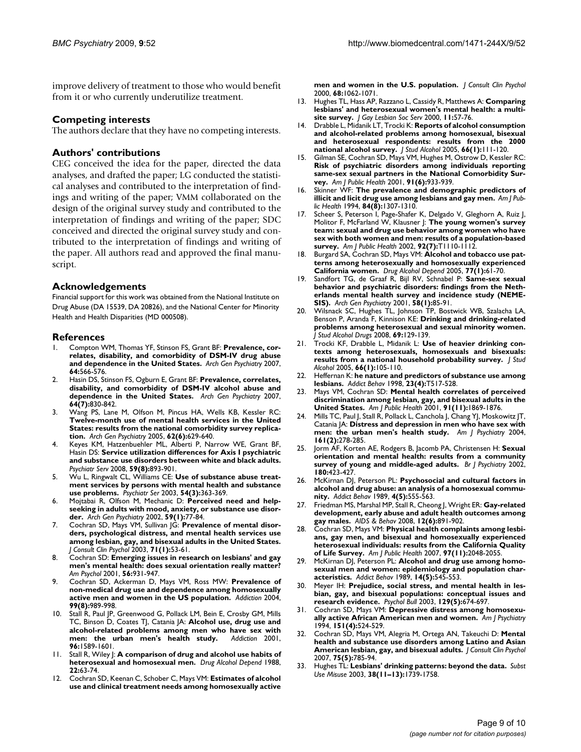improve delivery of treatment to those who would benefit from it or who currently underutilize treatment.

#### **Competing interests**

The authors declare that they have no competing interests.

#### **Authors' contributions**

CEG conceived the idea for the paper, directed the data analyses, and drafted the paper; LG conducted the statistical analyses and contributed to the interpretation of findings and writing of the paper; VMM collaborated on the design of the original survey study and contributed to the interpretation of findings and writing of the paper; SDC conceived and directed the original survey study and contributed to the interpretation of findings and writing of the paper. All authors read and approved the final manuscript.

#### **Acknowledgements**

Financial support for this work was obtained from the National Institute on Drug Abuse (DA 15539, DA 20826), and the National Center for Minority Health and Health Disparities (MD 000508).

#### **References**

- <span id="page-8-0"></span>1. Compton WM, Thomas YF, Stinson FS, Grant BF: **[Prevalence, cor](http://www.ncbi.nlm.nih.gov/entrez/query.fcgi?cmd=Retrieve&db=PubMed&dopt=Abstract&list_uids=17485608)[relates, disability, and comorbidity of DSM-IV drug abuse](http://www.ncbi.nlm.nih.gov/entrez/query.fcgi?cmd=Retrieve&db=PubMed&dopt=Abstract&list_uids=17485608) [and dependence in the United States.](http://www.ncbi.nlm.nih.gov/entrez/query.fcgi?cmd=Retrieve&db=PubMed&dopt=Abstract&list_uids=17485608)** *Arch Gen Psychiatry* 2007, **64:**566-576.
- 2. Hasin DS, Stinson FS, Ogburn E, Grant BF: **[Prevalence, correlates,](http://www.ncbi.nlm.nih.gov/entrez/query.fcgi?cmd=Retrieve&db=PubMed&dopt=Abstract&list_uids=17606817) [disability, and comorbidity of DSM-IV alcohol abuse and](http://www.ncbi.nlm.nih.gov/entrez/query.fcgi?cmd=Retrieve&db=PubMed&dopt=Abstract&list_uids=17606817) [dependence in the United States.](http://www.ncbi.nlm.nih.gov/entrez/query.fcgi?cmd=Retrieve&db=PubMed&dopt=Abstract&list_uids=17606817)** *Arch Gen Psychiatry* 2007, **64(7):**830-842.
- <span id="page-8-1"></span>3. Wang PS, Lane M, Olfson M, Pincus HA, Wells KB, Kessler RC: **[Twelve-month use of mental health services in the United](http://www.ncbi.nlm.nih.gov/entrez/query.fcgi?cmd=Retrieve&db=PubMed&dopt=Abstract&list_uids=15939840) States: results from the national comorbidity survey replica[tion.](http://www.ncbi.nlm.nih.gov/entrez/query.fcgi?cmd=Retrieve&db=PubMed&dopt=Abstract&list_uids=15939840)** *Arch Gen Psychiatry* 2005, **62(6):**629-640.
- <span id="page-8-2"></span>Keyes KM, Hatzenbuehler ML, Alberti P, Narrow WE, Grant BF, Hasin DS: **[Service utilization differences for Axis I psychiatric](http://www.ncbi.nlm.nih.gov/entrez/query.fcgi?cmd=Retrieve&db=PubMed&dopt=Abstract&list_uids=18678687) [and substance use disorders between white and black adults.](http://www.ncbi.nlm.nih.gov/entrez/query.fcgi?cmd=Retrieve&db=PubMed&dopt=Abstract&list_uids=18678687)** *Psychiatr Serv* 2008, **59(8):**893-901.
- <span id="page-8-3"></span>5. Wu L, Ringwalt CL, Williams CE: **Use of substance abuse treatment services by persons with mental health and substance use problems.** *Psychiatr Ser* 2003, **54(3):**363-369.
- <span id="page-8-4"></span>6. Mojtabai R, Olfson M, Mechanic D: **[Perceived need and help](http://www.ncbi.nlm.nih.gov/entrez/query.fcgi?cmd=Retrieve&db=PubMed&dopt=Abstract&list_uids=11779286)[seeking in adults with mood, anxiety, or substance use disor](http://www.ncbi.nlm.nih.gov/entrez/query.fcgi?cmd=Retrieve&db=PubMed&dopt=Abstract&list_uids=11779286)[der.](http://www.ncbi.nlm.nih.gov/entrez/query.fcgi?cmd=Retrieve&db=PubMed&dopt=Abstract&list_uids=11779286)** *Arch Gen Psychiatry* 2002, **59(1):**77-84.
- <span id="page-8-5"></span>7. Cochran SD, Mays VM, Sullivan JG: **[Prevalence of mental disor](http://www.ncbi.nlm.nih.gov/entrez/query.fcgi?cmd=Retrieve&db=PubMed&dopt=Abstract&list_uids=12602425)[ders, psychological distress, and mental health services use](http://www.ncbi.nlm.nih.gov/entrez/query.fcgi?cmd=Retrieve&db=PubMed&dopt=Abstract&list_uids=12602425) among lesbian, gay, and bisexual adults in the United States.** *J Consult Clin Psychol* 2003, **71(1):**53-61.
- <span id="page-8-6"></span>8. Cochran SD: **[Emerging issues in research on lesbians' and gay](http://www.ncbi.nlm.nih.gov/entrez/query.fcgi?cmd=Retrieve&db=PubMed&dopt=Abstract&list_uids=11785169) [men's mental health: does sexual orientation really matter?](http://www.ncbi.nlm.nih.gov/entrez/query.fcgi?cmd=Retrieve&db=PubMed&dopt=Abstract&list_uids=11785169)** *Am Psychol* 2001, **56:**931-947.
- <span id="page-8-7"></span>9. Cochran SD, Ackerman D, Mays VM, Ross MW: **[Prevalence of](http://www.ncbi.nlm.nih.gov/entrez/query.fcgi?cmd=Retrieve&db=PubMed&dopt=Abstract&list_uids=15265096) [non-medical drug use and dependence among homosexually](http://www.ncbi.nlm.nih.gov/entrez/query.fcgi?cmd=Retrieve&db=PubMed&dopt=Abstract&list_uids=15265096) [active men and women in the US population.](http://www.ncbi.nlm.nih.gov/entrez/query.fcgi?cmd=Retrieve&db=PubMed&dopt=Abstract&list_uids=15265096)** *Addiction* 2004, **99(8):**989-998.
- <span id="page-8-8"></span>10. Stall R, Paul JP, Greenwood G, Pollack LM, Bein E, Crosby GM, Mills TC, Binson D, Coates TJ, Catania JA: **[Alcohol use, drug use and](http://www.ncbi.nlm.nih.gov/entrez/query.fcgi?cmd=Retrieve&db=PubMed&dopt=Abstract&list_uids=11784456) [alcohol-related problems among men who have sex with](http://www.ncbi.nlm.nih.gov/entrez/query.fcgi?cmd=Retrieve&db=PubMed&dopt=Abstract&list_uids=11784456)** [men: the urban men's health study.](http://www.ncbi.nlm.nih.gov/entrez/query.fcgi?cmd=Retrieve&db=PubMed&dopt=Abstract&list_uids=11784456) **96:**1589-1601.
- <span id="page-8-9"></span>11. Stall R, Wiley J: **[A comparison of drug and alcohol use habits of](http://www.ncbi.nlm.nih.gov/entrez/query.fcgi?cmd=Retrieve&db=PubMed&dopt=Abstract&list_uids=3266145) [heterosexual and homosexual men.](http://www.ncbi.nlm.nih.gov/entrez/query.fcgi?cmd=Retrieve&db=PubMed&dopt=Abstract&list_uids=3266145)** *Drug Alcohol Depend* 1988, **22:**63-74.
- <span id="page-8-10"></span>12. Cochran SD, Keenan C, Schober C, Mays VM: **[Estimates of alcohol](http://www.ncbi.nlm.nih.gov/entrez/query.fcgi?cmd=Retrieve&db=PubMed&dopt=Abstract&list_uids=11142540) [use and clinical treatment needs among homosexually active](http://www.ncbi.nlm.nih.gov/entrez/query.fcgi?cmd=Retrieve&db=PubMed&dopt=Abstract&list_uids=11142540)**

**[men and women in the U.S. population.](http://www.ncbi.nlm.nih.gov/entrez/query.fcgi?cmd=Retrieve&db=PubMed&dopt=Abstract&list_uids=11142540)** *J Consult Clin Psychol* 2000, **68:**1062-1071.

- <span id="page-8-11"></span>13. Hughes TL, Hass AP, Razzano L, Cassidy R, Matthews A: **Comparing lesbians' and heterosexual women's mental health: a multisite survey.** *J Gay Lesbian Soc Serv* 2000, **11:**57-76.
- <span id="page-8-12"></span>14. Drabble L, Midanik LT, Trocki K: **[Reports of alcohol consumption](http://www.ncbi.nlm.nih.gov/entrez/query.fcgi?cmd=Retrieve&db=PubMed&dopt=Abstract&list_uids=15830911) [and alcohol-related problems among homosexual, bisexual](http://www.ncbi.nlm.nih.gov/entrez/query.fcgi?cmd=Retrieve&db=PubMed&dopt=Abstract&list_uids=15830911) and heterosexual respondents: results from the 2000 [national alcohol survey.](http://www.ncbi.nlm.nih.gov/entrez/query.fcgi?cmd=Retrieve&db=PubMed&dopt=Abstract&list_uids=15830911)** *J Stud Alcohol* 2005, **66(1):**111-120.
- <span id="page-8-13"></span>15. Gilman SE, Cochran SD, Mays VM, Hughes M, Ostrow D, Kessler RC: **[Risk of psychiatric disorders among individuals reporting](http://www.ncbi.nlm.nih.gov/entrez/query.fcgi?cmd=Retrieve&db=PubMed&dopt=Abstract&list_uids=11392937) same-sex sexual partners in the National Comorbidity Sur[vey.](http://www.ncbi.nlm.nih.gov/entrez/query.fcgi?cmd=Retrieve&db=PubMed&dopt=Abstract&list_uids=11392937)** *Am J Public Health* 2001, **91(6):**933-939.
- <span id="page-8-14"></span>16. Skinner WF: **[The prevalence and demographic predictors of](http://www.ncbi.nlm.nih.gov/entrez/query.fcgi?cmd=Retrieve&db=PubMed&dopt=Abstract&list_uids=8059891) [illicit and licit drug use among lesbians and gay men.](http://www.ncbi.nlm.nih.gov/entrez/query.fcgi?cmd=Retrieve&db=PubMed&dopt=Abstract&list_uids=8059891)** *Am J Public Health* 1994, **84(8):**1307-1310.
- <span id="page-8-15"></span>17. Scheer S, Peterson I, Page-Shafer K, Delgado V, Gleghorn A, Ruiz J, Molitor F, McFarland W, Klausner J: **The young women's survey team: sexual and drug use behavior among women who have sex with both women and men: results of a population-based survey.** *Am J Public Health* 2002, **92(7):**T1110-1112.
- <span id="page-8-16"></span>Burgard SA, Cochran SD, Mays VM: [Alcohol and tobacco use pat](http://www.ncbi.nlm.nih.gov/entrez/query.fcgi?cmd=Retrieve&db=PubMed&dopt=Abstract&list_uids=15607842)**[terns among heterosexually and homosexually experienced](http://www.ncbi.nlm.nih.gov/entrez/query.fcgi?cmd=Retrieve&db=PubMed&dopt=Abstract&list_uids=15607842) [California women.](http://www.ncbi.nlm.nih.gov/entrez/query.fcgi?cmd=Retrieve&db=PubMed&dopt=Abstract&list_uids=15607842)** *Drug Alcohol Depend* 2005, **77(1):**61-70.
- <span id="page-8-17"></span>19. Sandfort TG, de Graaf R, Bijl RV, Schnabel P: **[Same-sex sexual](http://www.ncbi.nlm.nih.gov/entrez/query.fcgi?cmd=Retrieve&db=PubMed&dopt=Abstract&list_uids=11146762) [behavior and psychiatric disorders: findings from the Neth](http://www.ncbi.nlm.nih.gov/entrez/query.fcgi?cmd=Retrieve&db=PubMed&dopt=Abstract&list_uids=11146762)erlands mental health survey and incidence study (NEME-[SIS\).](http://www.ncbi.nlm.nih.gov/entrez/query.fcgi?cmd=Retrieve&db=PubMed&dopt=Abstract&list_uids=11146762)** *Arch Gen Psychiatry* 2001, **58(1):**85-91.
- <span id="page-8-18"></span>20. Wilsnack SC, Hughes TL, Johnson TP, Bostwick WB, Szalacha LA, Benson P, Aranda F, Kinnison KE: **[Drinking and drinking-related](http://www.ncbi.nlm.nih.gov/entrez/query.fcgi?cmd=Retrieve&db=PubMed&dopt=Abstract&list_uids=18080073) [problems among heterosexual and sexual minority women.](http://www.ncbi.nlm.nih.gov/entrez/query.fcgi?cmd=Retrieve&db=PubMed&dopt=Abstract&list_uids=18080073)** *J Stud Alcohol Drugs* 2008, **69:**129-139.
- <span id="page-8-19"></span>21. Trocki KF, Drabble L, Midanik L: **[Use of heavier drinking con](http://www.ncbi.nlm.nih.gov/entrez/query.fcgi?cmd=Retrieve&db=PubMed&dopt=Abstract&list_uids=15830910)[texts among heterosexuals, homosexuals and bisexuals:](http://www.ncbi.nlm.nih.gov/entrez/query.fcgi?cmd=Retrieve&db=PubMed&dopt=Abstract&list_uids=15830910) [results from a national household probability survey.](http://www.ncbi.nlm.nih.gov/entrez/query.fcgi?cmd=Retrieve&db=PubMed&dopt=Abstract&list_uids=15830910)** *J Stud Alcohol* 2005, **66(1):**105-110.
- <span id="page-8-20"></span>22. Heffernan K: **he nature and predictors of substance use among lesbians.** *Addict Behav* 1998, **23(4):**T517-528.
- <span id="page-8-21"></span>23. Mays VM, Cochran SD: **[Mental health correlates of perceived](http://www.ncbi.nlm.nih.gov/entrez/query.fcgi?cmd=Retrieve&db=PubMed&dopt=Abstract&list_uids=11684618) [discrimination among lesbian, gay, and bisexual adults in the](http://www.ncbi.nlm.nih.gov/entrez/query.fcgi?cmd=Retrieve&db=PubMed&dopt=Abstract&list_uids=11684618) [United States.](http://www.ncbi.nlm.nih.gov/entrez/query.fcgi?cmd=Retrieve&db=PubMed&dopt=Abstract&list_uids=11684618)** *Am J Public Health* 2001, **91(11):**1869-1876.
- <span id="page-8-22"></span>24. Mills TC, Paul J, Stall R, Pollack L, Canchola J, Chang YJ, Moskowitz JT, Catania JA: **[Distress and depression in men who have sex with](http://www.ncbi.nlm.nih.gov/entrez/query.fcgi?cmd=Retrieve&db=PubMed&dopt=Abstract&list_uids=14754777) [men: the urban men's health study.](http://www.ncbi.nlm.nih.gov/entrez/query.fcgi?cmd=Retrieve&db=PubMed&dopt=Abstract&list_uids=14754777)** *Am J Psychiatry* 2004, **161(2):**278-285.
- <span id="page-8-23"></span>25. Jorm AF, Korten AE, Rodgers B, Jacomb PA, Christensen H: **[Sexual](http://www.ncbi.nlm.nih.gov/entrez/query.fcgi?cmd=Retrieve&db=PubMed&dopt=Abstract&list_uids=11983639) [orientation and mental health: results from a community](http://www.ncbi.nlm.nih.gov/entrez/query.fcgi?cmd=Retrieve&db=PubMed&dopt=Abstract&list_uids=11983639) [survey of young and middle-aged adults.](http://www.ncbi.nlm.nih.gov/entrez/query.fcgi?cmd=Retrieve&db=PubMed&dopt=Abstract&list_uids=11983639)** *Br J Psychiatry* 2002, **180:**423-427.
- <span id="page-8-24"></span>26. McKirnan DJ, Peterson PL: **[Psychosocial and cultural factors in](http://www.ncbi.nlm.nih.gov/entrez/query.fcgi?cmd=Retrieve&db=PubMed&dopt=Abstract&list_uids=2589134) [alcohol and drug abuse: an analysis of a homosexual commu](http://www.ncbi.nlm.nih.gov/entrez/query.fcgi?cmd=Retrieve&db=PubMed&dopt=Abstract&list_uids=2589134)[nity.](http://www.ncbi.nlm.nih.gov/entrez/query.fcgi?cmd=Retrieve&db=PubMed&dopt=Abstract&list_uids=2589134)** *Addict Behav* 1989, **4(5):**555-563.
- <span id="page-8-25"></span>27. Friedman MS, Marshal MP, Stall R, Cheong J, Wright ER: **[Gay-related](http://www.ncbi.nlm.nih.gov/entrez/query.fcgi?cmd=Retrieve&db=PubMed&dopt=Abstract&list_uids=17990094) [development, early abuse and adult health outcomes among](http://www.ncbi.nlm.nih.gov/entrez/query.fcgi?cmd=Retrieve&db=PubMed&dopt=Abstract&list_uids=17990094) [gay males.](http://www.ncbi.nlm.nih.gov/entrez/query.fcgi?cmd=Retrieve&db=PubMed&dopt=Abstract&list_uids=17990094)** *AIDS & Behav* 2008, **12(6):**891-902.
- <span id="page-8-26"></span>28. Cochran SD, Mays VM: **[Physical health complaints among lesbi](http://www.ncbi.nlm.nih.gov/entrez/query.fcgi?cmd=Retrieve&db=PubMed&dopt=Abstract&list_uids=17463371)[ans, gay men, and bisexual and homosexually experienced](http://www.ncbi.nlm.nih.gov/entrez/query.fcgi?cmd=Retrieve&db=PubMed&dopt=Abstract&list_uids=17463371) heterosexual individuals: results from the California Quality [of Life Survey.](http://www.ncbi.nlm.nih.gov/entrez/query.fcgi?cmd=Retrieve&db=PubMed&dopt=Abstract&list_uids=17463371)** *Am J Public Health* 2007, **97(11):**2048-2055.
- <span id="page-8-27"></span>29. McKirnan DJ, Peterson PL: **[Alcohol and drug use among homo](http://www.ncbi.nlm.nih.gov/entrez/query.fcgi?cmd=Retrieve&db=PubMed&dopt=Abstract&list_uids=2589133)[sexual men and women: epidemiology and population char](http://www.ncbi.nlm.nih.gov/entrez/query.fcgi?cmd=Retrieve&db=PubMed&dopt=Abstract&list_uids=2589133)[acteristics.](http://www.ncbi.nlm.nih.gov/entrez/query.fcgi?cmd=Retrieve&db=PubMed&dopt=Abstract&list_uids=2589133)** *Addict Behav* 1989, **14(5):**545-553.
- <span id="page-8-28"></span>Meyer IH: [Prejudice, social stress, and mental health in les](http://www.ncbi.nlm.nih.gov/entrez/query.fcgi?cmd=Retrieve&db=PubMed&dopt=Abstract&list_uids=12956539)**[bian, gay, and bisexual populations: conceptual issues and](http://www.ncbi.nlm.nih.gov/entrez/query.fcgi?cmd=Retrieve&db=PubMed&dopt=Abstract&list_uids=12956539) [research evidence.](http://www.ncbi.nlm.nih.gov/entrez/query.fcgi?cmd=Retrieve&db=PubMed&dopt=Abstract&list_uids=12956539)** *Psychol Bull* 2003, **129(5):**674-697.
- <span id="page-8-29"></span>31. Cochran SD, Mays VM: **[Depressive distress among homosexu](http://www.ncbi.nlm.nih.gov/entrez/query.fcgi?cmd=Retrieve&db=PubMed&dopt=Abstract&list_uids=8147449)[ally active African American men and women.](http://www.ncbi.nlm.nih.gov/entrez/query.fcgi?cmd=Retrieve&db=PubMed&dopt=Abstract&list_uids=8147449)** *Am J Psychiatry* 1994, **151(4):**524-529.
- <span id="page-8-30"></span>32. Cochran SD, Mays VM, Alegria M, Ortega AN, Takeuchi D: **[Mental](http://www.ncbi.nlm.nih.gov/entrez/query.fcgi?cmd=Retrieve&db=PubMed&dopt=Abstract&list_uids=17907860) [health and substance use disorders among Latino and Asian](http://www.ncbi.nlm.nih.gov/entrez/query.fcgi?cmd=Retrieve&db=PubMed&dopt=Abstract&list_uids=17907860) [American lesbian, gay, and bisexual adults.](http://www.ncbi.nlm.nih.gov/entrez/query.fcgi?cmd=Retrieve&db=PubMed&dopt=Abstract&list_uids=17907860)** *J Consult Clin Psychol* 2007, **75(5):**785-94.
- <span id="page-8-31"></span>33. Hughes TL: **[Lesbians' drinking patterns: beyond the data.](http://www.ncbi.nlm.nih.gov/entrez/query.fcgi?cmd=Retrieve&db=PubMed&dopt=Abstract&list_uids=14582576)** *Subst Use Misuse* 2003, **38(11–13):**1739-1758.